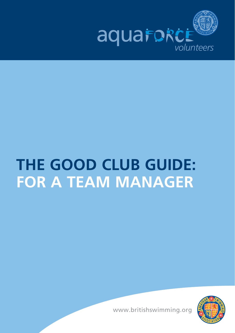

# **THE GOOD CLUB GUIDE: for a Team manager**



www.britishswimming.org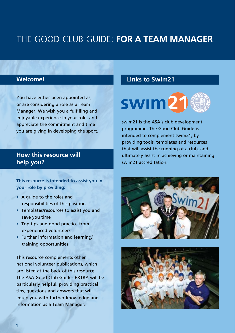#### **Welcome!**

You have either been appointed as, or are considering a role as a Team Manager. We wish you a fulfilling and enjoyable experience in your role, and appreciate the commitment and time you are giving in developing the sport.

#### **How this resource will help you?**

**This resource is intended to assist you in your role by providing:**

- A guide to the roles and responsibilities of this position
- Templates/resources to assist you and save you time
- Top tips and good practice from experienced volunteers
- Further information and learning/ training opportunities

This resource complements other national volunteer publications, which are listed at the back of this resource. The ASA Good Club Guides EXTRA will be particularly helpful, providing practical tips, questions and answers that will equip you with further knowledge and information as a Team Manager.

#### **Links to Swim21**



swim21 is the ASA's club development programme. The Good Club Guide is intended to complement swim21, by providing tools, templates and resources that will assist the running of a club, and ultimately assist in achieving or maintaining swim21 accreditation.



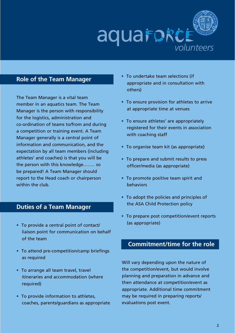

#### **Role of the Team Manager**

The Team Manager is a vital team member in an aquatics team. The Team Manager is the person with responsibility for the logistics, administration and co-ordination of teams to/from and during a competition or training event. A Team Manager generally is a central point of information and communication, and the expectation by all team members (including athletes' and coaches) is that you will be the person with this knowledge…….. so be prepared! A Team Manager should report to the Head coach or chairperson within the club.

#### **Duties of a Team Manager**

- To provide a central point of contact/ liaison point for communication on behalf of the team
- To attend pre-competition/camp briefings as required
- To arrange all team travel, travel itineraries and accommodation (where required)
- To provide information to athletes, coaches, parents/guardians as appropriate
- To undertake team selections (if appropriate and in consultation with others)
- To ensure provision for athletes to arrive at appropriate time at venues
- To ensure athletes' are appropriately registered for their events in association with coaching staff
- To organise team kit (as appropriate)
- To prepare and submit results to press officer/media (as appropriate)
- To promote positive team spirit and behaviors
- To adopt the policies and principles of the ASA Child Protection policy
- To prepare post competition/event reports (as appropriate)

#### **Commitment/time for the role**

Will vary depending upon the nature of the competition/event, but would involve planning and preparation in advance and then attendance at competition/event as appropriate. Additional time commitment may be required in preparing reports/ evaluations post event.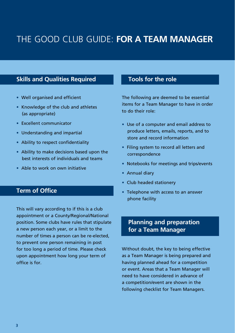#### **Skills and Qualities Required**

- Well organised and efficient
- Knowledge of the club and athletes (as appropriate)
- Excellent communicator
- Understanding and impartial
- Ability to respect confidentiality
- Ability to make decisions based upon the best interests of individuals and teams
- Able to work on own initiative

#### **Term of Office**

This will vary according to if this is a club appointment or a County/Regional/National position. Some clubs have rules that stipulate a new person each year, or a limit to the number of times a person can be re-elected, to prevent one person remaining in post for too long a period of time. Please check upon appointment how long your term of office is for.

#### **Tools for the role**

The following are deemed to be essential items for a Team Manager to have in order to do their role:

- Use of a computer and email address to produce letters, emails, reports, and to store and record information
- Filing system to record all letters and correspondence
- Notebooks for meetings and trips/events
- Annual diary
- Club headed stationery
- Telephone with access to an answer phone facility

#### **Planning and preparation for a Team Manager**

Without doubt, the key to being effective as a Team Manager is being prepared and having planned ahead for a competition or event. Areas that a Team Manager will need to have considered in advance of a competition/event are shown in the following checklist for Team Managers.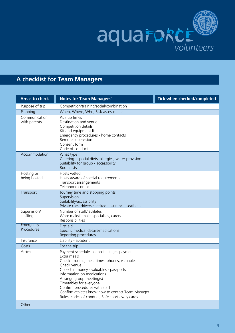

#### **A checklist for Team Managers**

| <b>Areas to check</b>         | <b>Notes for Team Managers'</b>                                                                                                                                                                                                                                                                                                                                                                    | Tick when checked/completed |
|-------------------------------|----------------------------------------------------------------------------------------------------------------------------------------------------------------------------------------------------------------------------------------------------------------------------------------------------------------------------------------------------------------------------------------------------|-----------------------------|
| Purpose of trip               | Competition/training/social/combination                                                                                                                                                                                                                                                                                                                                                            |                             |
| Planning                      | When, Where, Who, Risk assessments                                                                                                                                                                                                                                                                                                                                                                 |                             |
| Communication<br>with parents | Pick up times<br>Destination and venue<br>Competition details<br>Kit and equipment list<br>Emergency procedures - home contacts<br>Remote supervision<br>Consent form<br>Code of conduct                                                                                                                                                                                                           |                             |
| Accommodation                 | What type<br>Catering - special diets, allergies, water provision<br>Suitability for group - accessibility<br>Room lists                                                                                                                                                                                                                                                                           |                             |
| Hosting or<br>being hosted    | Hosts vetted<br>Hosts aware of special requirements<br>Transport arrangements<br>Telephone contact                                                                                                                                                                                                                                                                                                 |                             |
| Transport                     | Journey time and stopping points<br>Supervision<br>Suitability/accessibility<br>Private cars: drivers checked, insurance, seatbelts                                                                                                                                                                                                                                                                |                             |
| Supervision/<br>staffing      | Number of staff/athletes<br>Who: male/female, specialists, carers<br>Responsibilities                                                                                                                                                                                                                                                                                                              |                             |
| Emergency<br>Procedures       | First aid<br>Specific medical details/medications<br>Reporting procedures                                                                                                                                                                                                                                                                                                                          |                             |
| Insurance                     | Liability - accident                                                                                                                                                                                                                                                                                                                                                                               |                             |
| Costs                         | For the trip                                                                                                                                                                                                                                                                                                                                                                                       |                             |
| Arrival                       | Payment schedule - deposit, stages payments<br>Extra meals<br>Check - rooms, meal times, phones, valuables<br>Check venue<br>Collect in money - valuables - passports<br>Information on medications<br>Arrange group meeting(s)<br>Timetables for everyone<br>Confirm procedures with staff<br>Confirm athletes know how to contact Team Manager<br>Rules, codes of conduct, Safe sport away cards |                             |
| Other                         |                                                                                                                                                                                                                                                                                                                                                                                                    |                             |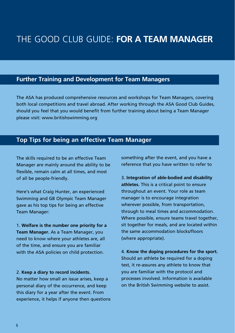#### **Further Training and Development for Team Managers**

The ASA has produced comprehensive resources and workshops for Team Managers, covering both local competitions and travel abroad. After working through the ASA Good Club Guides, should you feel that you would benefit from further training about being a Team Manager please visit: www.britishswimming.org

#### **Top Tips for being an effective Team Manager**

The skills required to be an effective Team Manager are mainly around the ability to be flexible, remain calm at all times, and most of all be people-friendly.

Here's what Craig Hunter, an experienced Swimming and GB Olympic Team Manager gave as his top tips for being an effective Team Manager:

1. **Welfare is the number one priority for a Team Manager.** As a Team Manager, you need to know where your athletes are, all of the time, and ensure you are familiar with the ASA policies on child protection.

#### 2. **Keep a diary to record incidents.**

No matter how small an issue arises, keep a personal diary of the occurrence, and keep this diary for a year after the event. From experience, it helps if anyone then questions something after the event, and you have a reference that you have written to refer to

3. **Integration of able-bodied and disability athletes.** This is a critical point to ensure throughout an event. Your role as team manager is to encourage integration wherever possible, from transportation, through to meal times and accommodation. Where possible, ensure teams travel together, sit together for meals, and are located within the same accommodation blocks/floors (where appropriate).

4. **Know the doping procedures for the sport.** Should an athlete be required for a doping test, it re-assures any athlete to know that you are familiar with the protocol and processes involved. Information is available on the British Swimming website to assist.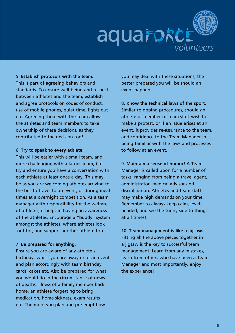

5. **Establish protocols with the team.** This is part of agreeing behaviors and standards. To ensure well-being and respect between athletes and the team, establish and agree protocols on codes of conduct, use of mobile phones, quiet time, lights out etc. Agreeing these with the team allows the athletes and team members to take ownership of these decisions, as they contributed to the decision too!

#### 6. **Try to speak to every athlete.**

This will be easier with a small team, and more challenging with a larger team, but try and ensure you have a conversation with each athlete at least once a day. This may be as you are welcoming athletes arriving to the bus to travel to an event, or during meal times at a overnight competition. As a team manager with responsibility for the welfare of athletes, it helps in having an awareness of the athletes. Encourage a "buddy" system amongst the athletes, where athletes look out for, and support another athlete too.

#### 7. **Be prepared for anything.**

Ensure you are aware of any athlete's birthdays whilst you are away or at an event and plan accordingly with team birthday cards, cakes etc. Also be prepared for what you would do in the circumstance of news of deaths, illness of a family member back home, an athlete forgetting to bring medication, home sickness, exam results etc. The more you plan and pre-empt how

you may deal with these situations, the better prepared you will be should an event happen.

8. **Know the technical laws of the sport.** Similar to doping procedures, should an athlete or member of team staff wish to make a protest, or if an issue arises at an event, it provides re-assurance to the team, and confidence to the Team Manager in being familiar with the laws and processes to follow at an event.

9. **Maintain a sense of humor!** A Team Manager is called upon for a number of tasks, ranging from being a travel agent, administrator, medical advisor and disciplinarian. Athletes and team staff may make high demands on your time. Remember to always keep calm, levelheaded, and see the funny side to things at all times!

10. **Team management is like a jigsaw.** Fitting all the above pieces together in a jigsaw is the key to successful team management. Learn from any mistakes, learn from others who have been a Team Manager and most importantly, enjoy the experience!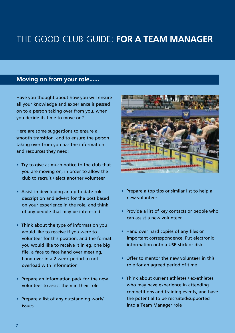#### **Moving on from your role......**

Have you thought about how you will ensure all your knowledge and experience is passed on to a person taking over from you, when you decide its time to move on?

Here are some suggestions to ensure a smooth transition, and to ensure the person taking over from you has the information and resources they need:

- Try to give as much notice to the club that you are moving on, in order to allow the club to recruit / elect another volunteer
- Assist in developing an up to date role description and advert for the post based on your experience in the role, and think of any people that may be interested
- Think about the type of information you would like to receive if you were to volunteer for this position, and the format you would like to receive it in eg. one big file, a face to face hand over meeting, hand over in a 2 week period to not overload with information
- Prepare an information pack for the new volunteer to assist them in their role
- Prepare a list of any outstanding work/ issues



- Prepare a top tips or similar list to help a new volunteer
- Provide a list of key contacts or people who can assist a new volunteer
- Hand over hard copies of any files or important correspondence. Put electronic information onto a USB stick or disk
- Offer to mentor the new volunteer in this role for an agreed period of time
- Think about current athletes / ex-athletes who may have experience in attending competitions and training events, and have the potential to be recruited/supported into a Team Manager role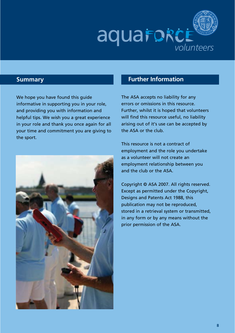

We hope you have found this guide informative in supporting you in your role, and providing you with information and helpful tips. We wish you a great experience in your role and thank you once again for all your time and commitment you are giving to the sport.



### **Summary Further Information**

The ASA accepts no liability for any errors or omissions in this resource. Further, whilst it is hoped that volunteers will find this resource useful, no liability arising out of it's use can be accepted by the ASA or the club.

This resource is not a contract of employment and the role you undertake as a volunteer will not create an employment relationship between you and the club or the ASA.

Copyright © ASA 2007. All rights reserved. Except as permitted under the Copyright, Designs and Patents Act 1988, this publication may not be reproduced, stored in a retrieval system or transmitted, in any form or by any means without the prior permission of the ASA.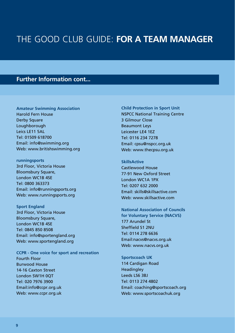#### **Further Information cont...**

**Amateur Swimming Association** Harold Fern House Derby Square Loughborough Leics LE11 5AL Tel: 01509 618700 Email: info@swimming.org Web: www.britishswimming.org

**runningsports** 3rd Floor, Victoria House Bloomsbury Square, London WC1B 4SE Tel: 0800 363373 Email: info@runningsports.org Web: www.runningsports.org

**Sport England** 3rd Floor, Victoria House Bloomsbury Square, London WC1B 4SE Tel: 0845 850 8508 Email: info@sportengland.org Web: www.sportengland.org

**CCPR - One voice for sport and recreation** Fourth Floor Burwood House 14-16 Caxton Street London SW1H 0QT Tel: 020 7976 3900 Email:info@ccpr.org.uk Web: www.ccpr.org.uk

**Child Protection in Sport Unit** NSPCC National Training Centre 3 Gilmour Close Beaumont Leys Leicester LE4 1EZ Tel: 0116 234 7278 Email: cpsu@nspcc.org.uk Web: www.thecpsu.org.uk

**SkillsActive** Castlewood House 77-91 New Oxford Street London WC1A 1PX Tel: 0207 632 2000 Email: skills@skillsactive.com Web: www.skillsactive.com

**National Association of Councils for Voluntary Service (NACVS)** 177 Arundel St Sheffield S1 2NU Tel: 0114 278 6636 Email:nacvs@nacvs.org.uk Web: www.nacvs.org.uk

**Sportscoach UK** 114 Cardigan Road **Headingley** Leeds LS6 3BJ Tel: 0113 274 4802 Email: coaching@sportscoach.org Web: www.sportscoachuk.org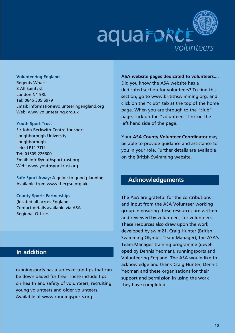

**Volunteering England** Regents Wharf 8 All Saints st London N1 9RL Tel: 0845 305 6979 Email: information@volunteeringengland.org Web: www.volunteering.org.uk

**Youth Sport Trust** Sir John Beckwith Centre for sport Loughborough University **Loughborough** Leics LE11 3TU Tel: 01509 226600 Email: info@youthsporttrust.org Web: www.youthsporttrust.org

**Safe Sport Away:** A guide to good planning Available from www.thecpsu.org.uk

**County Sports Partnerships** (located all across England. Contact details available via ASA Regional Offices.

#### **In addition**

runningsports has a series of top tips that can be downloaded for free. These include tips on health and safety of volunteers, recruiting young volunteers and older volunteers. Available at www.runningsports.org

**ASA website pages dedicated to volunteers....** Did you know the ASA website has a dedicated section for volunteers? To find this section, go to www.britishswimming.org, and click on the "club" tab at the top of the home page. When you are through to the "club" page, click on the "volunteers" link on the left hand side of the page.

Your **ASA County Volunteer Coordinator** may be able to provide guidance and assistance to you in your role. Further details are available on the British Swimming website.

#### **Acknowledgements**

The ASA are grateful for the contributions and input from the ASA Volunteer working group in ensuring these resources are written and reviewed by volunteers, for volunteers. These resources also draw upon the work developed by swim21, Craig Hunter (British Swimming Olympic Team Manager), the ASA's Team Manager training programme (developed by Dennis Yeoman), runningsports and Volunteering England. The ASA would like to acknowledge and thank Craig Hunter, Dennis Yeoman and these organisations for their support and permission in using the work they have completed.